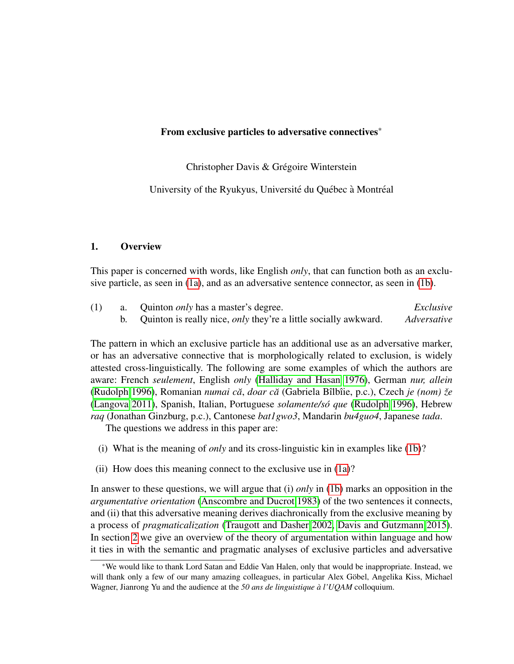Christopher Davis & Grégoire Winterstein

University of the Ryukyus, Université du Québec à Montréal

### 1. Overview

This paper is concerned with words, like English *only*, that can function both as an exclusive particle, as seen in [\(1a\)](#page-0-0), and as an adversative sentence connector, as seen in [\(1b\)](#page-0-1).

<span id="page-0-1"></span><span id="page-0-0"></span>

| (1) | a. Quinton <i>only</i> has a master's degree.                          | Exclusive   |
|-----|------------------------------------------------------------------------|-------------|
|     | Quinton is really nice, <i>only</i> they're a little socially awkward. | Adversative |

The pattern in which an exclusive particle has an additional use as an adversative marker, or has an adversative connective that is morphologically related to exclusion, is widely attested cross-linguistically. The following are some examples of which the authors are aware: French *seulement*, English *only* [\(Halliday and Hasan 1976\)](#page-9-0), German *nur, allein* [\(Rudolph 1996\)](#page-9-1), Romanian *numai ca˘*, *doar ca˘* (Gabriela Bˆılbˆıie, p.c.), Czech *je (nom) zeˇ* [\(Langova 2011\)](#page-9-2), Spanish, Italian, Portuguese *solamente/so que ´* [\(Rudolph 1996\)](#page-9-1), Hebrew *raq* (Jonathan Ginzburg, p.c.), Cantonese *bat1gwo3*, Mandarin *bu4guo4*, Japanese *tada*.

The questions we address in this paper are:

- (i) What is the meaning of *only* and its cross-linguistic kin in examples like [\(1b\)](#page-0-1)?
- (ii) How does this meaning connect to the exclusive use in [\(1a\)](#page-0-0)?

In answer to these questions, we will argue that (i) *only* in [\(1b\)](#page-0-1) marks an opposition in the *argumentative orientation* [\(Anscombre and Ducrot 1983\)](#page-8-0) of the two sentences it connects, and (ii) that this adversative meaning derives diachronically from the exclusive meaning by a process of *pragmaticalization* [\(Traugott and Dasher 2002,](#page-9-3) [Davis and Gutzmann 2015\)](#page-9-4). In section [2](#page-1-0) we give an overview of the theory of argumentation within language and how it ties in with the semantic and pragmatic analyses of exclusive particles and adversative

<sup>\*</sup>We would like to thank Lord Satan and Eddie Van Halen, only that would be inappropriate. Instead, we will thank only a few of our many amazing colleagues, in particular Alex Göbel, Angelika Kiss, Michael Wagner, Jianrong Yu and the audience at the *50 ans de linguistique a l'UQAM `* colloquium.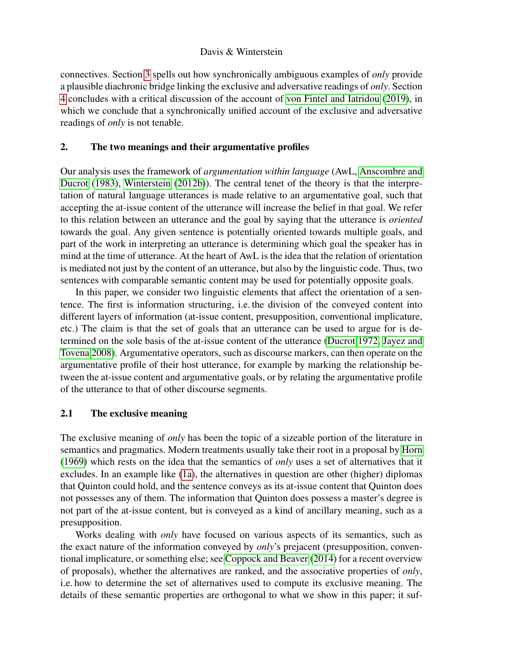connectives. Section [3](#page-4-0) spells out how synchronically ambiguous examples of *only* provide a plausible diachronic bridge linking the exclusive and adversative readings of *only*. Section [4](#page-7-0) concludes with a critical discussion of the account of [von Fintel and Iatridou](#page-9-5) [\(2019\)](#page-9-5), in which we conclude that a synchronically unified account of the exclusive and adversative readings of *only* is not tenable.

### <span id="page-1-0"></span>2. The two meanings and their argumentative profiles

Our analysis uses the framework of *argumentation within language* (AwL, [Anscombre and](#page-8-0) [Ducrot](#page-8-0) [\(1983\)](#page-8-0), [Winterstein](#page-9-6) [\(2012b\)](#page-9-6)). The central tenet of the theory is that the interpretation of natural language utterances is made relative to an argumentative goal, such that accepting the at-issue content of the utterance will increase the belief in that goal. We refer to this relation between an utterance and the goal by saying that the utterance is *oriented* towards the goal. Any given sentence is potentially oriented towards multiple goals, and part of the work in interpreting an utterance is determining which goal the speaker has in mind at the time of utterance. At the heart of AwL is the idea that the relation of orientation is mediated not just by the content of an utterance, but also by the linguistic code. Thus, two sentences with comparable semantic content may be used for potentially opposite goals.

In this paper, we consider two linguistic elements that affect the orientation of a sentence. The first is information structuring, i.e. the division of the conveyed content into different layers of information (at-issue content, presupposition, conventional implicature, etc.) The claim is that the set of goals that an utterance can be used to argue for is determined on the sole basis of the at-issue content of the utterance [\(Ducrot 1972,](#page-9-7) [Jayez and](#page-9-8) [Tovena 2008\)](#page-9-8). Argumentative operators, such as discourse markers, can then operate on the argumentative profile of their host utterance, for example by marking the relationship between the at-issue content and argumentative goals, or by relating the argumentative profile of the utterance to that of other discourse segments.

### 2.1 The exclusive meaning

The exclusive meaning of *only* has been the topic of a sizeable portion of the literature in semantics and pragmatics. Modern treatments usually take their root in a proposal by [Horn](#page-9-9) [\(1969\)](#page-9-9) which rests on the idea that the semantics of *only* uses a set of alternatives that it excludes. In an example like [\(1a\)](#page-0-0), the alternatives in question are other (higher) diplomas that Quinton could hold, and the sentence conveys as its at-issue content that Quinton does not possesses any of them. The information that Quinton does possess a master's degree is not part of the at-issue content, but is conveyed as a kind of ancillary meaning, such as a presupposition.

Works dealing with *only* have focused on various aspects of its semantics, such as the exact nature of the information conveyed by *only*'s prejacent (presupposition, conventional implicature, or something else; see [Coppock and Beaver](#page-8-1) [\(2014\)](#page-8-1) for a recent overview of proposals), whether the alternatives are ranked, and the associative properties of *only*, i.e. how to determine the set of alternatives used to compute its exclusive meaning. The details of these semantic properties are orthogonal to what we show in this paper; it suf-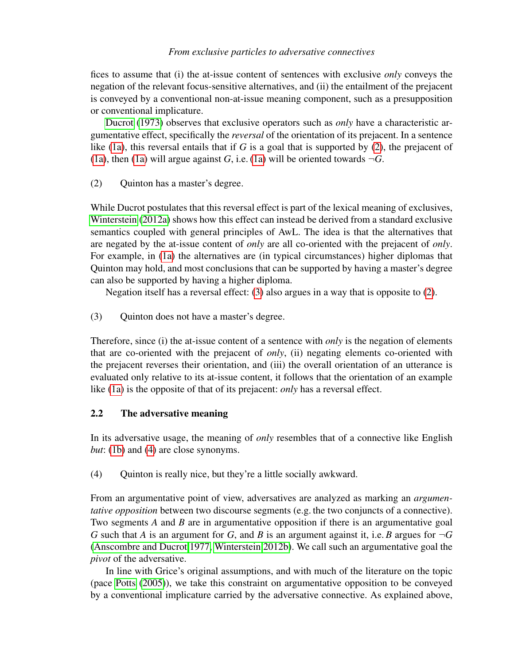fices to assume that (i) the at-issue content of sentences with exclusive *only* conveys the negation of the relevant focus-sensitive alternatives, and (ii) the entailment of the prejacent is conveyed by a conventional non-at-issue meaning component, such as a presupposition or conventional implicature.

[Ducrot](#page-9-10) [\(1973\)](#page-9-10) observes that exclusive operators such as *only* have a characteristic argumentative effect, specifically the *reversal* of the orientation of its prejacent. In a sentence like [\(1a\)](#page-0-0), this reversal entails that if *G* is a goal that is supported by [\(2\)](#page-2-0), the prejacent of [\(1a\)](#page-0-0), then (1a) will argue against *G*, i.e. (1a) will be oriented towards  $\neg G$ .

<span id="page-2-0"></span>(2) Quinton has a master's degree.

While Ducrot postulates that this reversal effect is part of the lexical meaning of exclusives, [Winterstein](#page-9-11) [\(2012a\)](#page-9-11) shows how this effect can instead be derived from a standard exclusive semantics coupled with general principles of AwL. The idea is that the alternatives that are negated by the at-issue content of *only* are all co-oriented with the prejacent of *only*. For example, in [\(1a\)](#page-0-0) the alternatives are (in typical circumstances) higher diplomas that Quinton may hold, and most conclusions that can be supported by having a master's degree can also be supported by having a higher diploma.

Negation itself has a reversal effect: [\(3\)](#page-2-1) also argues in a way that is opposite to [\(2\)](#page-2-0).

<span id="page-2-1"></span>(3) Quinton does not have a master's degree.

Therefore, since (i) the at-issue content of a sentence with *only* is the negation of elements that are co-oriented with the prejacent of *only*, (ii) negating elements co-oriented with the prejacent reverses their orientation, and (iii) the overall orientation of an utterance is evaluated only relative to its at-issue content, it follows that the orientation of an example like [\(1a\)](#page-0-0) is the opposite of that of its prejacent: *only* has a reversal effect.

# <span id="page-2-3"></span>2.2 The adversative meaning

In its adversative usage, the meaning of *only* resembles that of a connective like English *but*: [\(1b\)](#page-0-1) and [\(4\)](#page-2-2) are close synonyms.

<span id="page-2-2"></span>(4) Quinton is really nice, but they're a little socially awkward.

From an argumentative point of view, adversatives are analyzed as marking an *argumentative opposition* between two discourse segments (e.g. the two conjuncts of a connective). Two segments *A* and *B* are in argumentative opposition if there is an argumentative goal *G* such that *A* is an argument for *G*, and *B* is an argument against it, i.e. *B* argues for  $\neg G$ [\(Anscombre and Ducrot 1977,](#page-8-2) [Winterstein 2012b\)](#page-9-6). We call such an argumentative goal the *pivot* of the adversative.

In line with Grice's original assumptions, and with much of the literature on the topic (pace [Potts](#page-9-12) [\(2005\)](#page-9-12)), we take this constraint on argumentative opposition to be conveyed by a conventional implicature carried by the adversative connective. As explained above,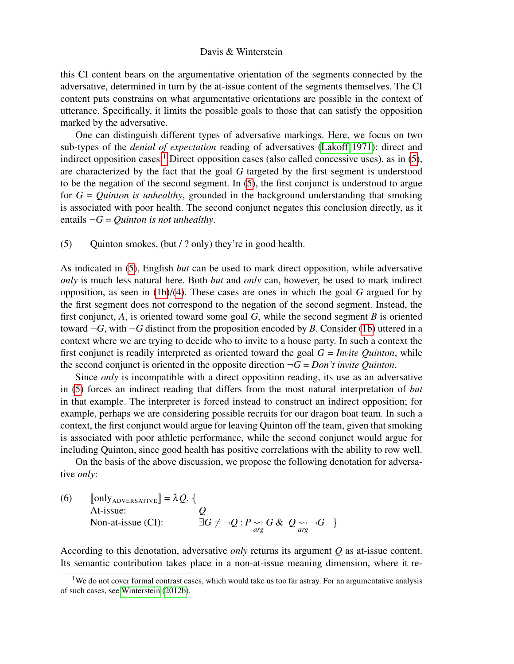this CI content bears on the argumentative orientation of the segments connected by the adversative, determined in turn by the at-issue content of the segments themselves. The CI content puts constrains on what argumentative orientations are possible in the context of utterance. Specifically, it limits the possible goals to those that can satisfy the opposition marked by the adversative.

One can distinguish different types of adversative markings. Here, we focus on two sub-types of the *denial of expectation* reading of adversatives [\(Lakoff 1971\)](#page-9-13): direct and indirect opposition cases.<sup>[1](#page-3-0)</sup> Direct opposition cases (also called concessive uses), as in [\(5\)](#page-3-1), are characterized by the fact that the goal *G* targeted by the first segment is understood to be the negation of the second segment. In [\(5\)](#page-3-1), the first conjunct is understood to argue for *G* = *Quinton is unhealthy*, grounded in the background understanding that smoking is associated with poor health. The second conjunct negates this conclusion directly, as it entails  $\neg G =$  *Quinton is not unhealthy*.

<span id="page-3-1"></span>(5) Quinton smokes, (but / ? only) they're in good health.

As indicated in [\(5\)](#page-3-1), English *but* can be used to mark direct opposition, while adversative *only* is much less natural here. Both *but* and *only* can, however, be used to mark indirect opposition, as seen in [\(1b\)](#page-0-1)/[\(4\)](#page-2-2). These cases are ones in which the goal *G* argued for by the first segment does not correspond to the negation of the second segment. Instead, the first conjunct, *A*, is oriented toward some goal *G*, while the second segment *B* is oriented toward  $\neg G$ , with  $\neg G$  distinct from the proposition encoded by *B*. Consider [\(1b\)](#page-0-1) uttered in a context where we are trying to decide who to invite to a house party. In such a context the first conjunct is readily interpreted as oriented toward the goal *G* = *Invite Quinton*, while the second conjunct is oriented in the opposite direction  $\neg G = Don't$  *invite Quinton*.

Since *only* is incompatible with a direct opposition reading, its use as an adversative in [\(5\)](#page-3-1) forces an indirect reading that differs from the most natural interpretation of *but* in that example. The interpreter is forced instead to construct an indirect opposition; for example, perhaps we are considering possible recruits for our dragon boat team. In such a context, the first conjunct would argue for leaving Quinton off the team, given that smoking is associated with poor athletic performance, while the second conjunct would argue for including Quinton, since good health has positive correlations with the ability to row well.

On the basis of the above discussion, we propose the following denotation for adversative *only*:

<span id="page-3-2"></span>(6)  $\begin{bmatrix} \text{only} \\ \text{At-issue:} \end{bmatrix} = \lambda Q. \{$ Non-at-issue (CI):  $\exists G \neq \neg Q : P \underset{arg}{\leadsto} G \& Q \underset{arg}{\leadsto} \neg G$ 

According to this denotation, adversative *only* returns its argument *Q* as at-issue content. Its semantic contribution takes place in a non-at-issue meaning dimension, where it re-

<span id="page-3-0"></span> $1$ We do not cover formal contrast cases, which would take us too far astray. For an argumentative analysis of such cases, see [Winterstein](#page-9-6) [\(2012b\)](#page-9-6).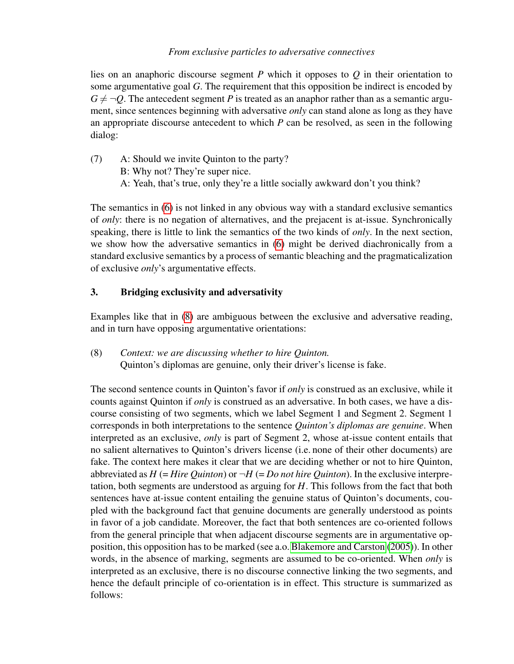lies on an anaphoric discourse segment *P* which it opposes to *Q* in their orientation to some argumentative goal *G*. The requirement that this opposition be indirect is encoded by  $G \neq \neg Q$ . The antecedent segment *P* is treated as an anaphor rather than as a semantic argument, since sentences beginning with adversative *only* can stand alone as long as they have an appropriate discourse antecedent to which *P* can be resolved, as seen in the following dialog:

(7) A: Should we invite Quinton to the party? B: Why not? They're super nice. A: Yeah, that's true, only they're a little socially awkward don't you think?

The semantics in [\(6\)](#page-3-2) is not linked in any obvious way with a standard exclusive semantics of *only*: there is no negation of alternatives, and the prejacent is at-issue. Synchronically speaking, there is little to link the semantics of the two kinds of *only*. In the next section, we show how the adversative semantics in [\(6\)](#page-3-2) might be derived diachronically from a standard exclusive semantics by a process of semantic bleaching and the pragmaticalization of exclusive *only*'s argumentative effects.

# <span id="page-4-0"></span>3. Bridging exclusivity and adversativity

Examples like that in [\(8\)](#page-4-1) are ambiguous between the exclusive and adversative reading, and in turn have opposing argumentative orientations:

<span id="page-4-1"></span>(8) *Context: we are discussing whether to hire Quinton.* Quinton's diplomas are genuine, only their driver's license is fake.

The second sentence counts in Quinton's favor if *only* is construed as an exclusive, while it counts against Quinton if *only* is construed as an adversative. In both cases, we have a discourse consisting of two segments, which we label Segment 1 and Segment 2. Segment 1 corresponds in both interpretations to the sentence *Quinton's diplomas are genuine*. When interpreted as an exclusive, *only* is part of Segment 2, whose at-issue content entails that no salient alternatives to Quinton's drivers license (i.e. none of their other documents) are fake. The context here makes it clear that we are deciding whether or not to hire Quinton, abbreviated as  $H$  (= *Hire Quinton*) or  $\neg H$  (= *Do not hire Quinton*). In the exclusive interpretation, both segments are understood as arguing for *H*. This follows from the fact that both sentences have at-issue content entailing the genuine status of Quinton's documents, coupled with the background fact that genuine documents are generally understood as points in favor of a job candidate. Moreover, the fact that both sentences are co-oriented follows from the general principle that when adjacent discourse segments are in argumentative opposition, this opposition has to be marked (see a.o. [Blakemore and Carston](#page-8-3) [\(2005\)](#page-8-3)). In other words, in the absence of marking, segments are assumed to be co-oriented. When *only* is interpreted as an exclusive, there is no discourse connective linking the two segments, and hence the default principle of co-orientation is in effect. This structure is summarized as follows: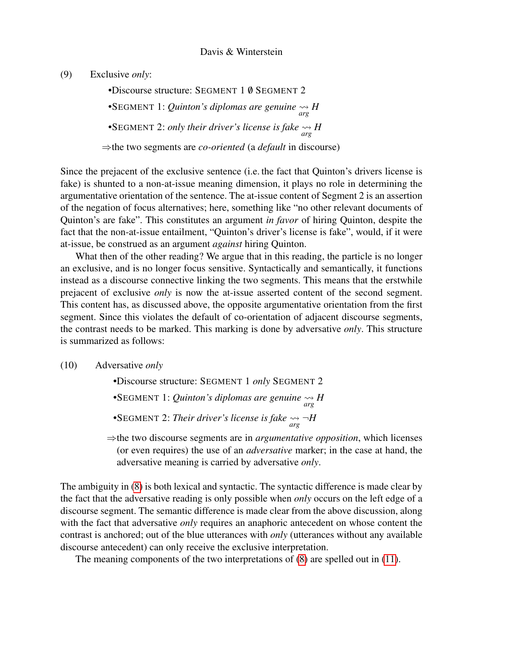(9) Exclusive *only*:

•Discourse structure: SEGMENT 1 0 SEGMENT 2 •SEGMENT 1: *Quinton's diplomas are genuine*  $\underset{arg}{\leadsto}$  *H* •SEGMENT 2: *only their driver's license is fake*  $\frac{dA}{dt}$  *H* ⇒the two segments are *co-oriented* (a *default* in discourse)

Since the prejacent of the exclusive sentence (i.e. the fact that Quinton's drivers license is fake) is shunted to a non-at-issue meaning dimension, it plays no role in determining the argumentative orientation of the sentence. The at-issue content of Segment 2 is an assertion of the negation of focus alternatives; here, something like "no other relevant documents of Quinton's are fake". This constitutes an argument *in favor* of hiring Quinton, despite the fact that the non-at-issue entailment, "Quinton's driver's license is fake", would, if it were at-issue, be construed as an argument *against* hiring Quinton.

What then of the other reading? We argue that in this reading, the particle is no longer an exclusive, and is no longer focus sensitive. Syntactically and semantically, it functions instead as a discourse connective linking the two segments. This means that the erstwhile prejacent of exclusive *only* is now the at-issue asserted content of the second segment. This content has, as discussed above, the opposite argumentative orientation from the first segment. Since this violates the default of co-orientation of adjacent discourse segments, the contrast needs to be marked. This marking is done by adversative *only*. This structure is summarized as follows:

(10) Adversative *only*

•Discourse structure: SEGMENT 1 *only* SEGMENT 2 •SEGMENT 1: *Quinton's diplomas are genuine*  $\underset{arg}{\leadsto}$  *H* •SEGMENT 2: *Their driver's license is fake arg* ¬*H*

⇒the two discourse segments are in *argumentative opposition*, which licenses (or even requires) the use of an *adversative* marker; in the case at hand, the adversative meaning is carried by adversative *only*.

The ambiguity in [\(8\)](#page-4-1) is both lexical and syntactic. The syntactic difference is made clear by the fact that the adversative reading is only possible when *only* occurs on the left edge of a discourse segment. The semantic difference is made clear from the above discussion, along with the fact that adversative *only* requires an anaphoric antecedent on whose content the contrast is anchored; out of the blue utterances with *only* (utterances without any available discourse antecedent) can only receive the exclusive interpretation.

<span id="page-5-0"></span>The meaning components of the two interpretations of [\(8\)](#page-4-1) are spelled out in [\(11\)](#page-5-0).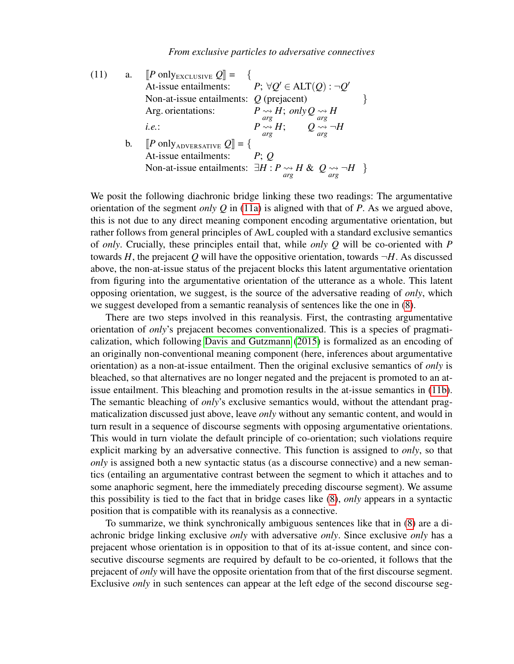<span id="page-6-0"></span>(11) a. 
$$
[P \text{ only}_{\text{EXECUSIVE}} Q] = \{
$$
  
\nAt-issue entailments:  $P; \forall Q' \in \text{ALT}(Q) : \neg Q'$   
\nNon-at-issue entailments:  $Q \text{ (prejacent)}$   
\nArg. orientations:  $P \rightsquigarrow H; only Q \rightsquigarrow H$   
\ni.e.:  $P \underset{arg}{\leadsto} H; \quad Q \underset{arg}{\leadsto} H$   
\nb.  $[P \text{ only} \text{ADVERSATIVE}} Q] = \{$   
\nAt-issue entailments:  $P; Q$   
\nNon-at-issue entailments:  $\exists H : P \underset{arg}{\leadsto} H \& Q \underset{arg}{\leadsto} \neg H \}$ 

<span id="page-6-1"></span>We posit the following diachronic bridge linking these two readings: The argumentative orientation of the segment *only Q* in [\(11a\)](#page-6-0) is aligned with that of *P*. As we argued above, this is not due to any direct meaning component encoding argumentative orientation, but rather follows from general principles of AwL coupled with a standard exclusive semantics of *only*. Crucially, these principles entail that, while *only Q* will be co-oriented with *P* towards *H*, the prejacent *Q* will have the oppositive orientation, towards  $\neg$ *H*. As discussed above, the non-at-issue status of the prejacent blocks this latent argumentative orientation from figuring into the argumentative orientation of the utterance as a whole. This latent opposing orientation, we suggest, is the source of the adversative reading of *only*, which we suggest developed from a semantic reanalysis of sentences like the one in [\(8\)](#page-4-1).

There are two steps involved in this reanalysis. First, the contrasting argumentative orientation of *only*'s prejacent becomes conventionalized. This is a species of pragmaticalization, which following [Davis and Gutzmann](#page-9-4) [\(2015\)](#page-9-4) is formalized as an encoding of an originally non-conventional meaning component (here, inferences about argumentative orientation) as a non-at-issue entailment. Then the original exclusive semantics of *only* is bleached, so that alternatives are no longer negated and the prejacent is promoted to an atissue entailment. This bleaching and promotion results in the at-issue semantics in [\(11b\)](#page-6-1). The semantic bleaching of *only*'s exclusive semantics would, without the attendant pragmaticalization discussed just above, leave *only* without any semantic content, and would in turn result in a sequence of discourse segments with opposing argumentative orientations. This would in turn violate the default principle of co-orientation; such violations require explicit marking by an adversative connective. This function is assigned to *only*, so that *only* is assigned both a new syntactic status (as a discourse connective) and a new semantics (entailing an argumentative contrast between the segment to which it attaches and to some anaphoric segment, here the immediately preceding discourse segment). We assume this possibility is tied to the fact that in bridge cases like [\(8\)](#page-4-1), *only* appears in a syntactic position that is compatible with its reanalysis as a connective.

To summarize, we think synchronically ambiguous sentences like that in [\(8\)](#page-4-1) are a diachronic bridge linking exclusive *only* with adversative *only*. Since exclusive *only* has a prejacent whose orientation is in opposition to that of its at-issue content, and since consecutive discourse segments are required by default to be co-oriented, it follows that the prejacent of *only* will have the opposite orientation from that of the first discourse segment. Exclusive *only* in such sentences can appear at the left edge of the second discourse seg-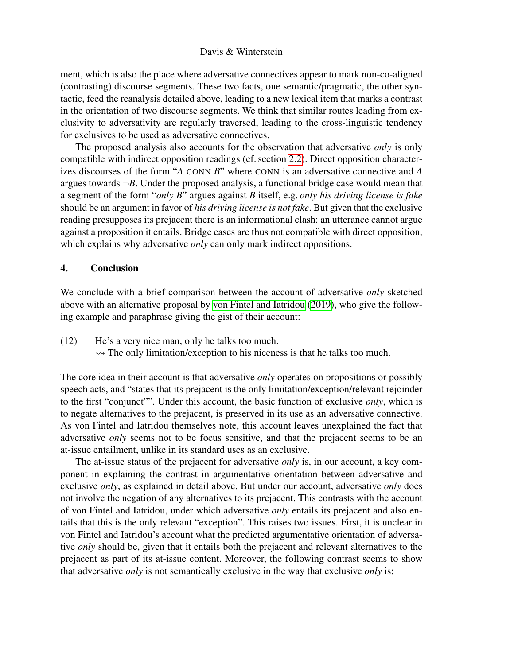ment, which is also the place where adversative connectives appear to mark non-co-aligned (contrasting) discourse segments. These two facts, one semantic/pragmatic, the other syntactic, feed the reanalysis detailed above, leading to a new lexical item that marks a contrast in the orientation of two discourse segments. We think that similar routes leading from exclusivity to adversativity are regularly traversed, leading to the cross-linguistic tendency for exclusives to be used as adversative connectives.

The proposed analysis also accounts for the observation that adversative *only* is only compatible with indirect opposition readings (cf. section [2.2\)](#page-2-3). Direct opposition characterizes discourses of the form "*A* CONN *B*" where CONN is an adversative connective and *A* argues towards  $\neg B$ . Under the proposed analysis, a functional bridge case would mean that a segment of the form "*only B*" argues against *B* itself, e.g. *only his driving license is fake* should be an argument in favor of *his driving license is not fake*. But given that the exclusive reading presupposes its prejacent there is an informational clash: an utterance cannot argue against a proposition it entails. Bridge cases are thus not compatible with direct opposition, which explains why adversative *only* can only mark indirect oppositions.

### <span id="page-7-0"></span>4. Conclusion

We conclude with a brief comparison between the account of adversative *only* sketched above with an alternative proposal by [von Fintel and Iatridou](#page-9-5) [\(2019\)](#page-9-5), who give the following example and paraphrase giving the gist of their account:

(12) He's a very nice man, only he talks too much.  $\rightarrow$  The only limitation/exception to his niceness is that he talks too much.

The core idea in their account is that adversative *only* operates on propositions or possibly speech acts, and "states that its prejacent is the only limitation/exception/relevant rejoinder to the first "conjunct"". Under this account, the basic function of exclusive *only*, which is to negate alternatives to the prejacent, is preserved in its use as an adversative connective. As von Fintel and Iatridou themselves note, this account leaves unexplained the fact that adversative *only* seems not to be focus sensitive, and that the prejacent seems to be an at-issue entailment, unlike in its standard uses as an exclusive.

<span id="page-7-1"></span>The at-issue status of the prejacent for adversative *only* is, in our account, a key component in explaining the contrast in argumentative orientation between adversative and exclusive *only*, as explained in detail above. But under our account, adversative *only* does not involve the negation of any alternatives to its prejacent. This contrasts with the account of von Fintel and Iatridou, under which adversative *only* entails its prejacent and also entails that this is the only relevant "exception". This raises two issues. First, it is unclear in von Fintel and Iatridou's account what the predicted argumentative orientation of adversative *only* should be, given that it entails both the prejacent and relevant alternatives to the prejacent as part of its at-issue content. Moreover, the following contrast seems to show that adversative *only* is not semantically exclusive in the way that exclusive *only* is: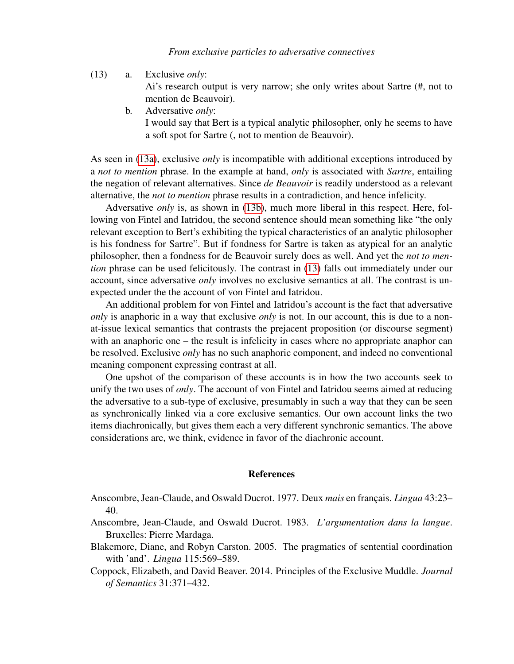<span id="page-8-5"></span><span id="page-8-4"></span>(13) a. Exclusive *only*:

Ai's research output is very narrow; she only writes about Sartre (#, not to mention de Beauvoir).

b. Adversative *only*:

I would say that Bert is a typical analytic philosopher, only he seems to have a soft spot for Sartre (, not to mention de Beauvoir).

As seen in [\(13a\)](#page-8-4), exclusive *only* is incompatible with additional exceptions introduced by a *not to mention* phrase. In the example at hand, *only* is associated with *Sartre*, entailing the negation of relevant alternatives. Since *de Beauvoir* is readily understood as a relevant alternative, the *not to mention* phrase results in a contradiction, and hence infelicity.

Adversative *only* is, as shown in [\(13b\)](#page-8-5), much more liberal in this respect. Here, following von Fintel and Iatridou, the second sentence should mean something like "the only relevant exception to Bert's exhibiting the typical characteristics of an analytic philosopher is his fondness for Sartre". But if fondness for Sartre is taken as atypical for an analytic philosopher, then a fondness for de Beauvoir surely does as well. And yet the *not to mention* phrase can be used felicitously. The contrast in [\(13\)](#page-7-1) falls out immediately under our account, since adversative *only* involves no exclusive semantics at all. The contrast is unexpected under the the account of von Fintel and Iatridou.

An additional problem for von Fintel and Iatridou's account is the fact that adversative *only* is anaphoric in a way that exclusive *only* is not. In our account, this is due to a nonat-issue lexical semantics that contrasts the prejacent proposition (or discourse segment) with an anaphoric one – the result is infelicity in cases where no appropriate anaphor can be resolved. Exclusive *only* has no such anaphoric component, and indeed no conventional meaning component expressing contrast at all.

One upshot of the comparison of these accounts is in how the two accounts seek to unify the two uses of *only*. The account of von Fintel and Iatridou seems aimed at reducing the adversative to a sub-type of exclusive, presumably in such a way that they can be seen as synchronically linked via a core exclusive semantics. Our own account links the two items diachronically, but gives them each a very different synchronic semantics. The above considerations are, we think, evidence in favor of the diachronic account.

#### **References**

- <span id="page-8-2"></span>Anscombre, Jean-Claude, and Oswald Ducrot. 1977. Deux *mais* en français. *Lingua* 43:23– 40.
- <span id="page-8-0"></span>Anscombre, Jean-Claude, and Oswald Ducrot. 1983. *L'argumentation dans la langue*. Bruxelles: Pierre Mardaga.
- <span id="page-8-3"></span>Blakemore, Diane, and Robyn Carston. 2005. The pragmatics of sentential coordination with 'and'. *Lingua* 115:569–589.
- <span id="page-8-1"></span>Coppock, Elizabeth, and David Beaver. 2014. Principles of the Exclusive Muddle. *Journal of Semantics* 31:371–432.